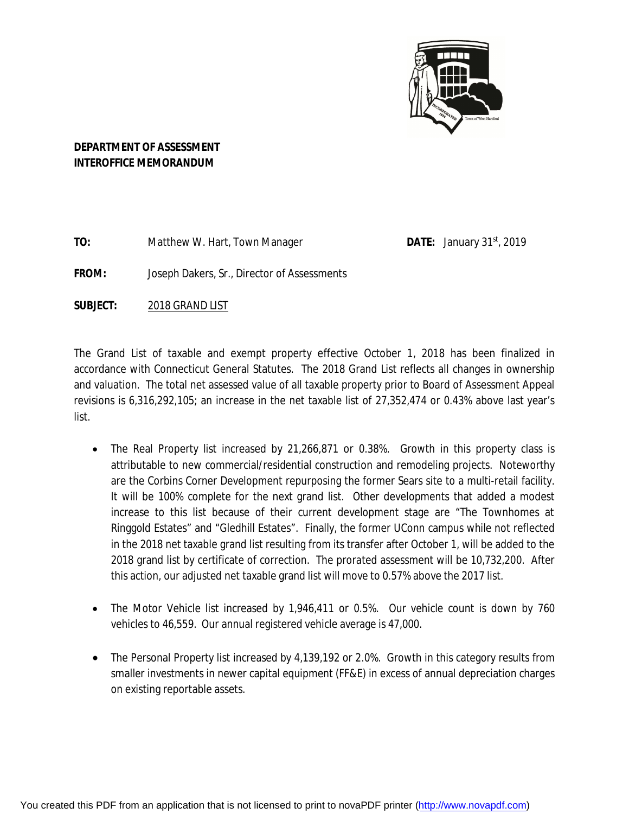

# **DEPARTMENT OF ASSESSMENT INTEROFFICE MEMORANDUM**

**TO:** Matthew W. Hart, Town Manager

**DATE:** January  $31<sup>st</sup>$ , 2019

**FROM:** Joseph Dakers, Sr., Director of Assessments

**SUBJECT:** 2018 GRAND LIST

The Grand List of taxable and exempt property effective October 1, 2018 has been finalized in accordance with Connecticut General Statutes. The 2018 Grand List reflects all changes in ownership and valuation. The total net assessed value of all taxable property prior to Board of Assessment Appeal revisions is 6,316,292,105; an increase in the net taxable list of 27,352,474 or 0.43% above last year's list.

- The Real Property list increased by 21,266,871 or 0.38%. Growth in this property class is attributable to new commercial/residential construction and remodeling projects. Noteworthy are the Corbins Corner Development repurposing the former Sears site to a multi-retail facility. It will be 100% complete for the next grand list. Other developments that added a modest increase to this list because of their current development stage are "The Townhomes at Ringgold Estates" and "Gledhill Estates". Finally, the former UConn campus while not reflected in the 2018 net taxable grand list resulting from its transfer after October 1, will be added to the 2018 grand list by certificate of correction. The prorated assessment will be 10,732,200. After this action, our adjusted net taxable grand list will move to 0.57% above the 2017 list.
- The Motor Vehicle list increased by 1,946,411 or 0.5%. Our vehicle count is down by 760 vehicles to 46,559. Our annual registered vehicle average is 47,000.
- The Personal Property list increased by 4,139,192 or 2.0%. Growth in this category results from smaller investments in newer capital equipment (FF&E) in excess of annual depreciation charges on existing reportable assets.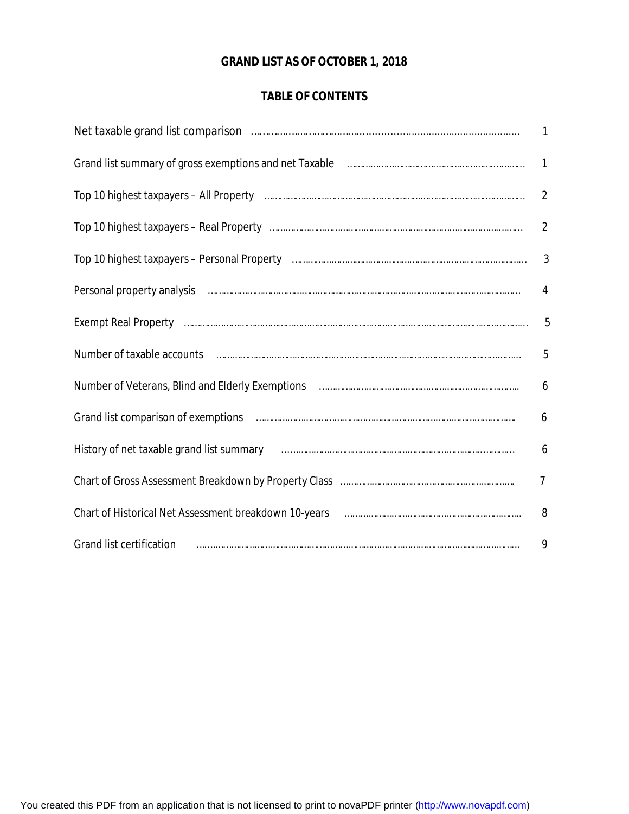# **GRAND LIST AS OF OCTOBER 1, 2018**

# **TABLE OF CONTENTS**

| Grand list summary of gross exemptions and net Taxable <b>Communical Constitution</b> Crand list summary of gross exemptions and net Taxable                                                                                  | $\mathbf{1}$   |
|-------------------------------------------------------------------------------------------------------------------------------------------------------------------------------------------------------------------------------|----------------|
|                                                                                                                                                                                                                               | $\overline{2}$ |
|                                                                                                                                                                                                                               | $\overline{2}$ |
|                                                                                                                                                                                                                               | $\mathfrak{Z}$ |
| Personal property analysis manual content of the content of the content of the content of the content of the content of the content of the content of the content of the content of the content of the content of the content | 4              |
|                                                                                                                                                                                                                               | 5              |
| Number of taxable accounts with the community of the control of the accounts with the control of taxable accounts                                                                                                             | 5              |
|                                                                                                                                                                                                                               | 6              |
|                                                                                                                                                                                                                               | 6              |
| History of net taxable grand list summary manufactured and an international control of net taxable grand list                                                                                                                 | 6              |
|                                                                                                                                                                                                                               | $\overline{7}$ |
|                                                                                                                                                                                                                               | 8              |
| Grand list certification <i>manufacture contained a contained in the contained in the certification</i>                                                                                                                       | 9              |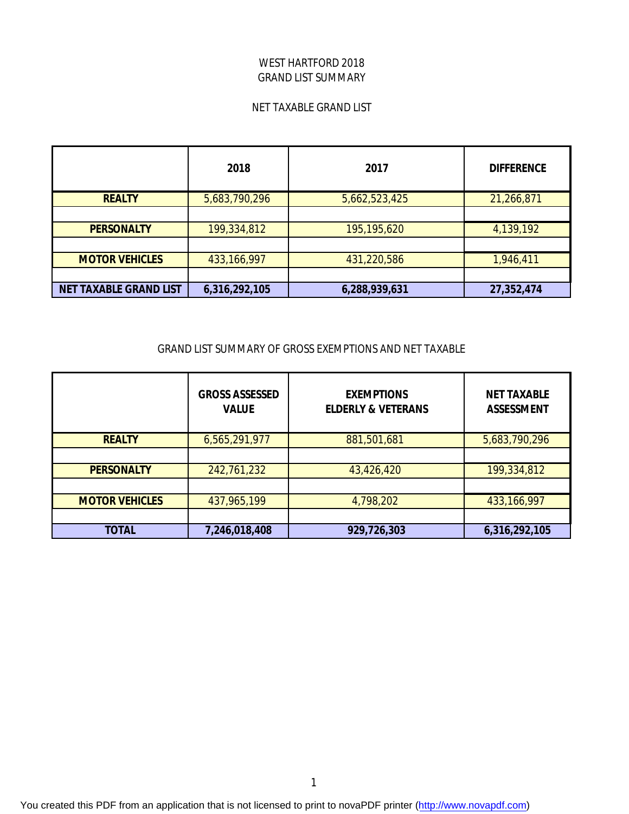## WEST HARTFORD 2018 GRAND LIST SUMMARY

#### NET TAXABLE GRAND LIST

|                               | 2018          | 2017          | <b>DIFFERENCE</b> |
|-------------------------------|---------------|---------------|-------------------|
| <b>REALTY</b>                 | 5,683,790,296 | 5,662,523,425 | 21,266,871        |
|                               |               |               |                   |
| <b>PERSONALTY</b>             | 199,334,812   | 195,195,620   | 4,139,192         |
|                               |               |               |                   |
| <b>MOTOR VEHICLES</b>         | 433,166,997   | 431,220,586   | 1,946,411         |
|                               |               |               |                   |
| <b>NET TAXABLE GRAND LIST</b> | 6,316,292,105 | 6,288,939,631 | 27,352,474        |

#### GRAND LIST SUMMARY OF GROSS EXEMPTIONS AND NET TAXABLE

|                       | <b>GROSS ASSESSED</b><br><b>VALUE</b> | <b>EXEMPTIONS</b><br><b>ELDERLY &amp; VETERANS</b> | <b>NET TAXABLE</b><br><b>ASSESSMENT</b> |
|-----------------------|---------------------------------------|----------------------------------------------------|-----------------------------------------|
| <b>REALTY</b>         | 6,565,291,977                         | 881,501,681                                        | 5,683,790,296                           |
|                       |                                       |                                                    |                                         |
| <b>PERSONALTY</b>     | 242,761,232                           | 43,426,420                                         | 199,334,812                             |
|                       |                                       |                                                    |                                         |
| <b>MOTOR VEHICLES</b> | 437,965,199                           | 4,798,202                                          | 433,166,997                             |
|                       |                                       |                                                    |                                         |
| <b>TOTAL</b>          | 7,246,018,408                         | 929,726,303                                        | 6,316,292,105                           |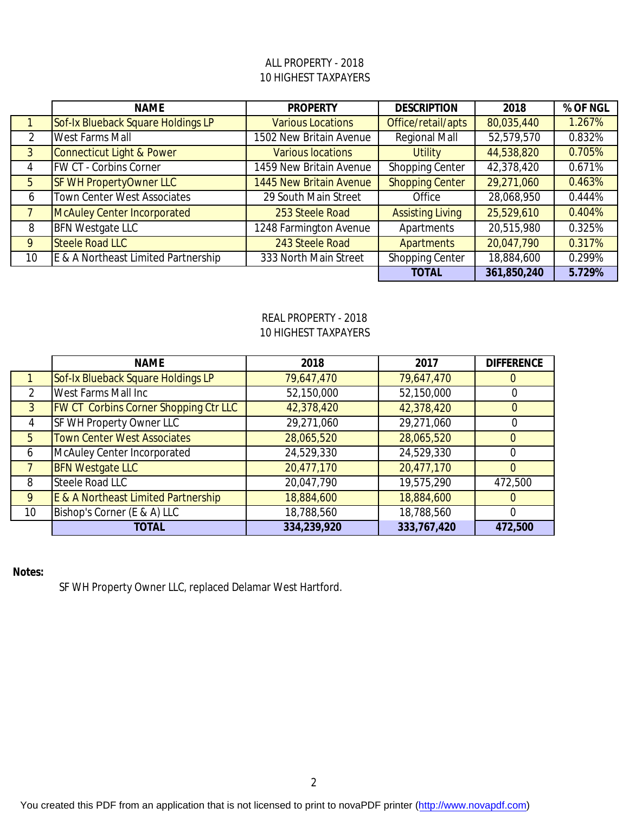## 10 HIGHEST TAXPAYERS ALL PROPERTY - 2018

|               | <b>NAME</b>                          | <b>PROPERTY</b>          | <b>DESCRIPTION</b>      | 2018        | % OF NGL |
|---------------|--------------------------------------|--------------------------|-------------------------|-------------|----------|
|               | Sof-Ix Blueback Square Holdings LP   | <b>Various Locations</b> | Office/retail/apts      | 80,035,440  | 1.267%   |
| $\mathcal{P}$ | <b>West Farms Mall</b>               | 1502 New Britain Avenue  | <b>Regional Mall</b>    | 52,579,570  | 0.832%   |
| $\mathbf{3}$  | <b>Connecticut Light &amp; Power</b> | <b>Various locations</b> | <b>Utility</b>          | 44,538,820  | 0.705%   |
| 4             | <b>FW CT - Corbins Corner</b>        | 1459 New Britain Avenue  | <b>Shopping Center</b>  | 42,378,420  | 0.671%   |
| 5             | <b>SF WH PropertyOwner LLC</b>       | 1445 New Britain Avenue  | <b>Shopping Center</b>  | 29,271,060  | 0.463%   |
| 6             | <b>Town Center West Associates</b>   | 29 South Main Street     | Office                  | 28,068,950  | 0.444%   |
|               | <b>McAuley Center Incorporated</b>   | 253 Steele Road          | <b>Assisting Living</b> | 25,529,610  | 0.404%   |
| 8             | <b>BFN Westgate LLC</b>              | 1248 Farmington Avenue   | Apartments              | 20,515,980  | 0.325%   |
| 9             | <b>Steele Road LLC</b>               | 243 Steele Road          | <b>Apartments</b>       | 20,047,790  | 0.317%   |
| 10            | E & A Northeast Limited Partnership  | 333 North Main Street    | <b>Shopping Center</b>  | 18,884,600  | 0.299%   |
|               |                                      |                          | <b>TOTAL</b>            | 361,850,240 | 5.729%   |

## REAL PROPERTY - 2018 10 HIGHEST TAXPAYERS

|             | <b>NAME</b>                                  | 2018        | 2017        | <b>DIFFERENCE</b> |
|-------------|----------------------------------------------|-------------|-------------|-------------------|
|             | Sof-Ix Blueback Square Holdings LP           | 79,647,470  | 79,647,470  |                   |
|             | West Farms Mall Inc                          | 52,150,000  | 52,150,000  |                   |
| 3           | <b>FW CT Corbins Corner Shopping Ctr LLC</b> | 42,378,420  | 42,378,420  | $\Omega$          |
| 4           | SF WH Property Owner LLC                     | 29,271,060  | 29,271,060  |                   |
| $5^{\circ}$ | <b>Town Center West Associates</b>           | 28,065,520  | 28,065,520  |                   |
| 6           | McAuley Center Incorporated                  | 24,529,330  | 24,529,330  |                   |
|             | <b>BFN Westgate LLC</b>                      | 20,477,170  | 20,477,170  |                   |
| 8           | Steele Road LLC                              | 20,047,790  | 19,575,290  | 472,500           |
| 9           | E & A Northeast Limited Partnership          | 18,884,600  | 18,884,600  |                   |
| 10          | Bishop's Corner (E & A) LLC                  | 18,788,560  | 18,788,560  |                   |
|             | <b>TOTAL</b>                                 | 334,239,920 | 333,767,420 | 472,500           |

## **Notes:**

SF WH Property Owner LLC, replaced Delamar West Hartford.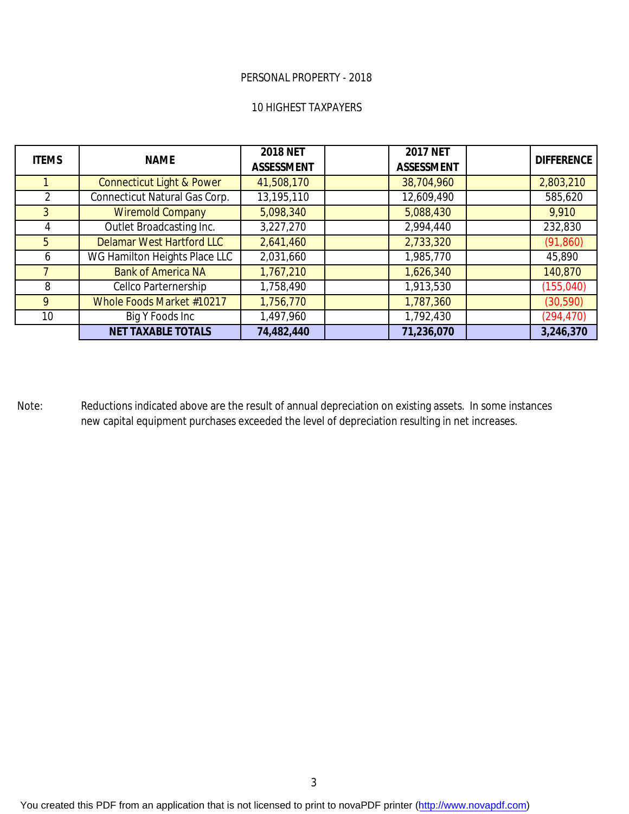#### PERSONAL PROPERTY - 2018

#### 10 HIGHEST TAXPAYERS

| <b>ITEMS</b>    | <b>NAME</b>                          | <b>2018 NET</b><br><b>ASSESSMENT</b> | <b>2017 NET</b><br><b>ASSESSMENT</b> | <b>DIFFERENCE</b> |
|-----------------|--------------------------------------|--------------------------------------|--------------------------------------|-------------------|
|                 | <b>Connecticut Light &amp; Power</b> | 41,508,170                           | 38,704,960                           | 2,803,210         |
| $\mathcal{P}$   | <b>Connecticut Natural Gas Corp.</b> | 13,195,110                           | 12,609,490                           | 585,620           |
| $\overline{3}$  | <b>Wiremold Company</b>              | 5,098,340                            | 5,088,430                            | 9,910             |
|                 | Outlet Broadcasting Inc.             | 3,227,270                            | 2,994,440                            | 232,830           |
| 5               | <b>Delamar West Hartford LLC</b>     | 2,641,460                            | 2,733,320                            | (91, 860)         |
| 6               | WG Hamilton Heights Place LLC        | 2,031,660                            | 1,985,770                            | 45,890            |
|                 | <b>Bank of America NA</b>            | 1,767,210                            | 1,626,340                            | 140,870           |
| 8               | Cellco Parternership                 | 1,758,490                            | 1,913,530                            | (155, 040)        |
| 9               | Whole Foods Market #10217            | 1,756,770                            | 1,787,360                            | (30, 590)         |
| 10 <sup>°</sup> | Big Y Foods Inc                      | 1,497,960                            | 1,792,430                            | (294, 470)        |
|                 | <b>NET TAXABLE TOTALS</b>            | 74,482,440                           | 71,236,070                           | 3,246,370         |

Note: Reductions indicated above are the result of annual depreciation on existing assets. In some instances new capital equipment purchases exceeded the level of depreciation resulting in net increases.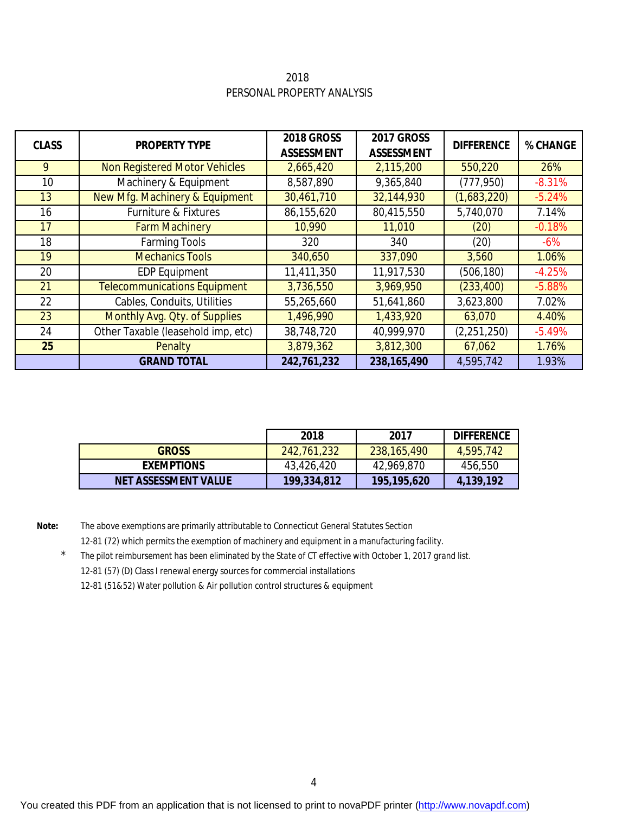2018 PERSONAL PROPERTY ANALYSIS

| <b>CLASS</b> | <b>PROPERTY TYPE</b>                | <b>2018 GROSS</b><br><b>ASSESSMENT</b> | <b>2017 GROSS</b><br><b>ASSESSMENT</b> | <b>DIFFERENCE</b> | % CHANGE |
|--------------|-------------------------------------|----------------------------------------|----------------------------------------|-------------------|----------|
| 9            | Non Registered Motor Vehicles       | 2,665,420                              | 2,115,200                              | 550,220           | 26%      |
| 10           | Machinery & Equipment               | 8,587,890                              | 9,365,840                              | (777, 950)        | $-8.31%$ |
| 13           | New Mfg. Machinery & Equipment      | 30,461,710                             | 32,144,930                             | (1,683,220)       | $-5.24%$ |
| 16           | Furniture & Fixtures                | 86,155,620                             | 80,415,550                             | 5,740,070         | 7.14%    |
| 17           | <b>Farm Machinery</b>               | 10,990                                 | 11,010                                 | (20)              | $-0.18%$ |
| 18           | <b>Farming Tools</b>                | 320                                    | 340                                    | (20)              | $-6%$    |
| 19           | <b>Mechanics Tools</b>              | 340,650                                | 337,090                                | 3,560             | 1.06%    |
| 20           | <b>EDP Equipment</b>                | 11,411,350                             | 11,917,530                             | (506, 180)        | $-4.25%$ |
| 21           | <b>Telecommunications Equipment</b> | 3,736,550                              | 3,969,950                              | (233, 400)        | $-5.88%$ |
| 22           | Cables, Conduits, Utilities         | 55,265,660                             | 51,641,860                             | 3,623,800         | 7.02%    |
| 23           | Monthly Avg. Qty. of Supplies       | 1,496,990                              | 1,433,920                              | 63,070            | 4.40%    |
| 24           | Other Taxable (leasehold imp, etc)  | 38,748,720                             | 40,999,970                             | (2,251,250)       | $-5.49%$ |
| 25           | Penalty                             | 3,879,362                              | 3,812,300                              | 67,062            | 1.76%    |
|              | <b>GRAND TOTAL</b>                  | 242,761,232                            | 238,165,490                            | 4,595,742         | 1.93%    |

|                             | 2018        | 2017        | <b>DIFFERENCE</b> |
|-----------------------------|-------------|-------------|-------------------|
| <b>GROSS</b>                | 242,761,232 | 238,165,490 | 4,595,742         |
| <b>EXEMPTIONS</b>           | 43,426,420  | 42,969,870  | 456,550           |
| <b>NET ASSESSMENT VALUE</b> | 199,334,812 | 195,195,620 | 4,139,192         |

**Note:** The above exemptions are primarily attributable to Connecticut General Statutes Section 12-81 (72) which permits the exemption of machinery and equipment in a manufacturing facility.

 \* *The pilot reimbursement has been eliminated by the State of CT effective with October 1, 2017 grand list.*  12-81 (57) (D) Class I renewal energy sources for commercial installations 12-81 (51&52) Water pollution & Air pollution control structures & equipment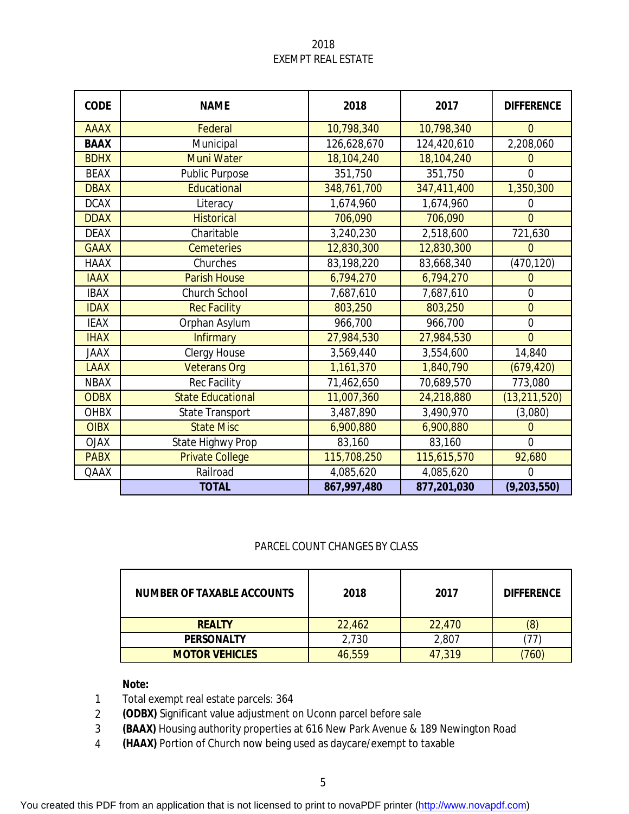## 2018 EXEMPT REAL ESTATE

| <b>CODE</b> | <b>NAME</b>              | 2018        | 2017        | <b>DIFFERENCE</b> |
|-------------|--------------------------|-------------|-------------|-------------------|
| <b>AAAX</b> | Federal                  | 10,798,340  | 10,798,340  | $\overline{0}$    |
| <b>BAAX</b> | Municipal                | 126,628,670 | 124,420,610 | 2,208,060         |
| <b>BDHX</b> | <b>Muni Water</b>        | 18,104,240  | 18,104,240  | $\overline{0}$    |
| <b>BEAX</b> | <b>Public Purpose</b>    | 351,750     | 351,750     | $\mathbf{0}$      |
| <b>DBAX</b> | Educational              | 348,761,700 | 347,411,400 | 1,350,300         |
| <b>DCAX</b> | Literacy                 | 1,674,960   | 1,674,960   | $\overline{0}$    |
| <b>DDAX</b> | <b>Historical</b>        | 706,090     | 706,090     | $\overline{0}$    |
| <b>DEAX</b> | Charitable               | 3,240,230   | 2,518,600   | 721,630           |
| <b>GAAX</b> | <b>Cemeteries</b>        | 12,830,300  | 12,830,300  | $\Omega$          |
| <b>HAAX</b> | Churches                 | 83,198,220  | 83,668,340  | (470, 120)        |
| <b>IAAX</b> | <b>Parish House</b>      | 6,794,270   | 6,794,270   | $\overline{0}$    |
| <b>IBAX</b> | <b>Church School</b>     | 7,687,610   | 7,687,610   | $\overline{0}$    |
| <b>IDAX</b> | <b>Rec Facility</b>      | 803,250     | 803,250     | $\overline{0}$    |
| <b>IEAX</b> | Orphan Asylum            | 966,700     | 966,700     | $\overline{0}$    |
| <b>IHAX</b> | <b>Infirmary</b>         | 27,984,530  | 27,984,530  | $\overline{0}$    |
| <b>JAAX</b> | <b>Clergy House</b>      | 3,569,440   | 3,554,600   | 14,840            |
| <b>LAAX</b> | <b>Veterans Org</b>      | 1,161,370   | 1,840,790   | (679, 420)        |
| <b>NBAX</b> | <b>Rec Facility</b>      | 71,462,650  | 70,689,570  | 773,080           |
| <b>ODBX</b> | <b>State Educational</b> | 11,007,360  | 24,218,880  | (13, 211, 520)    |
| <b>OHBX</b> | <b>State Transport</b>   | 3,487,890   | 3,490,970   | (3,080)           |
| <b>OIBX</b> | <b>State Misc</b>        | 6,900,880   | 6,900,880   | $\overline{0}$    |
| <b>OJAX</b> | State Highwy Prop        | 83,160      | 83,160      | $\overline{0}$    |
| <b>PABX</b> | <b>Private College</b>   | 115,708,250 | 115,615,570 | 92,680            |
| QAAX        | Railroad                 | 4,085,620   | 4,085,620   | $\mathbf{0}$      |
|             | <b>TOTAL</b>             | 867,997,480 | 877,201,030 | (9, 203, 550)     |

### PARCEL COUNT CHANGES BY CLASS

| <b>NUMBER OF TAXABLE ACCOUNTS</b> | 2018   | 2017   | <b>DIFFERENCE</b> |
|-----------------------------------|--------|--------|-------------------|
| <b>REALTY</b>                     | 22,462 | 22,470 | (8)               |
| <b>PERSONALTY</b>                 | 2,730  | 2,807  | $\prime\prime$    |
| <b>MOTOR VEHICLES</b>             | 46,559 | 47,319 | 760               |

## **Note:**

- 1 Total exempt real estate parcels: 364
- 2 **(ODBX)** Significant value adjustment on Uconn parcel before sale
- 3 **(BAAX)** Housing authority properties at 616 New Park Avenue & 189 Newington Road
- 4 **(HAAX)** Portion of Church now being used as daycare/exempt to taxable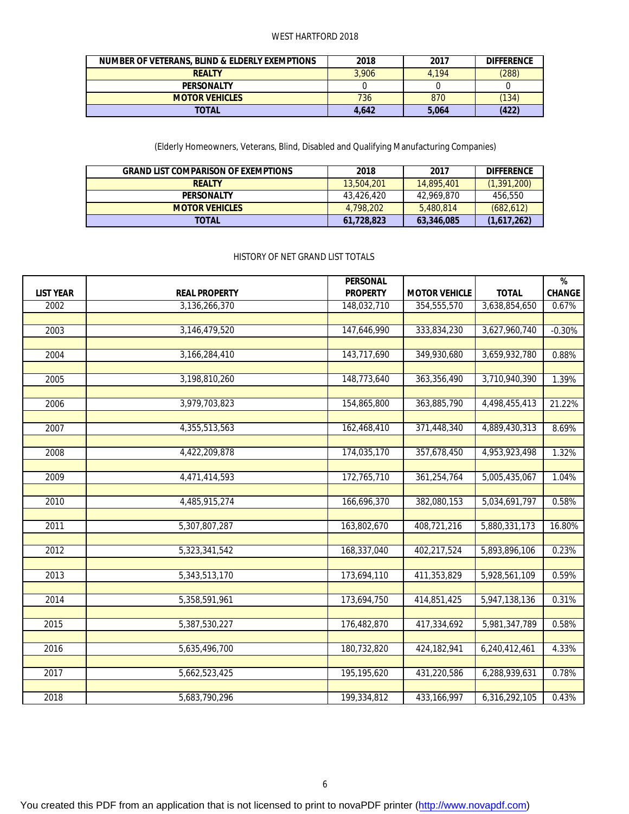#### WEST HARTFORD 2018

| NUMBER OF VETERANS, BLIND & ELDERLY EXEMPTIONS | 2018  | 2017  | <b>DIFFERENCE</b> |
|------------------------------------------------|-------|-------|-------------------|
| <b>REALTY</b>                                  | 3.906 | 4.194 | (288)             |
| <b>PERSONALTY</b>                              |       |       |                   |
| <b>MOTOR VEHICLES</b>                          | 736   | 870   | (134)             |
| TOTAL                                          | 4.642 | 5.064 | (422)             |

(Elderly Homeowners, Veterans, Blind, Disabled and Qualifying Manufacturing Companies)

| <b>GRAND LIST COMPARISON OF EXEMPTIONS</b> | 2018       | 2017       | <b>DIFFERENCE</b> |
|--------------------------------------------|------------|------------|-------------------|
| <b>REALTY</b>                              | 13,504,201 | 14,895,401 | (1, 391, 200)     |
| <b>PERSONALTY</b>                          | 43.426.420 | 42,969,870 | 456,550           |
| <b>MOTOR VEHICLES</b>                      | 4.798.202  | 5,480,814  | (682, 612)        |
| TOTAL                                      | 61.728.823 | 63,346,085 | (1,617,262)       |

#### HISTORY OF NET GRAND LIST TOTALS

|                  |                      | <b>PERSONAL</b> |                      |               | %             |
|------------------|----------------------|-----------------|----------------------|---------------|---------------|
| <b>LIST YEAR</b> | <b>REAL PROPERTY</b> | <b>PROPERTY</b> | <b>MOTOR VEHICLE</b> | <b>TOTAL</b>  | <b>CHANGE</b> |
| 2002             | 3,136,266,370        | 148,032,710     | 354,555,570          | 3,638,854,650 | 0.67%         |
|                  |                      |                 |                      |               |               |
| 2003             | 3,146,479,520        | 147,646,990     | 333,834,230          | 3,627,960,740 | $-0.30%$      |
|                  |                      |                 |                      |               |               |
| 2004             | 3,166,284,410        | 143,717,690     | 349,930,680          | 3,659,932,780 | 0.88%         |
|                  |                      |                 |                      |               |               |
| 2005             | 3,198,810,260        | 148,773,640     | 363,356,490          | 3,710,940,390 | 1.39%         |
|                  |                      |                 |                      |               |               |
| 2006             | 3,979,703,823        | 154,865,800     | 363,885,790          | 4,498,455,413 | 21.22%        |
|                  |                      |                 |                      |               |               |
| 2007             | 4,355,513,563        | 162,468,410     | 371,448,340          | 4,889,430,313 | 8.69%         |
|                  |                      |                 |                      |               |               |
| 2008             | 4,422,209,878        | 174,035,170     | 357,678,450          | 4,953,923,498 | 1.32%         |
| 2009             | 4,471,414,593        | 172,765,710     | 361,254,764          | 5,005,435,067 | 1.04%         |
|                  |                      |                 |                      |               |               |
| 2010             | 4,485,915,274        | 166,696,370     | 382,080,153          | 5,034,691,797 | 0.58%         |
|                  |                      |                 |                      |               |               |
| 2011             | 5,307,807,287        | 163,802,670     | 408,721,216          | 5,880,331,173 | 16.80%        |
|                  |                      |                 |                      |               |               |
| 2012             | 5,323,341,542        | 168,337,040     | 402,217,524          | 5,893,896,106 | 0.23%         |
|                  |                      |                 |                      |               |               |
| 2013             | 5,343,513,170        | 173,694,110     | 411,353,829          | 5,928,561,109 | 0.59%         |
|                  |                      |                 |                      |               |               |
| 2014             | 5,358,591,961        | 173,694,750     | 414,851,425          | 5,947,138,136 | 0.31%         |
|                  |                      |                 |                      |               |               |
| 2015             | 5,387,530,227        | 176,482,870     | 417,334,692          | 5,981,347,789 | 0.58%         |
|                  |                      |                 |                      |               |               |
| 2016             | 5,635,496,700        | 180,732,820     | 424,182,941          | 6,240,412,461 | 4.33%         |
|                  |                      |                 |                      |               |               |
| 2017             | 5,662,523,425        | 195,195,620     | 431,220,586          | 6,288,939,631 | 0.78%         |
|                  |                      |                 |                      |               |               |
| 2018             | 5,683,790,296        | 199,334,812     | 433, 166, 997        | 6,316,292,105 | 0.43%         |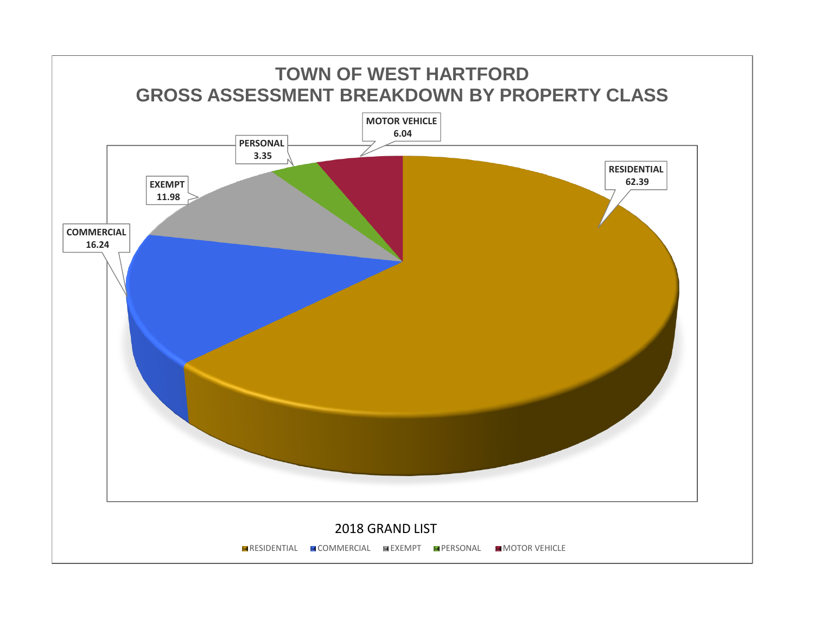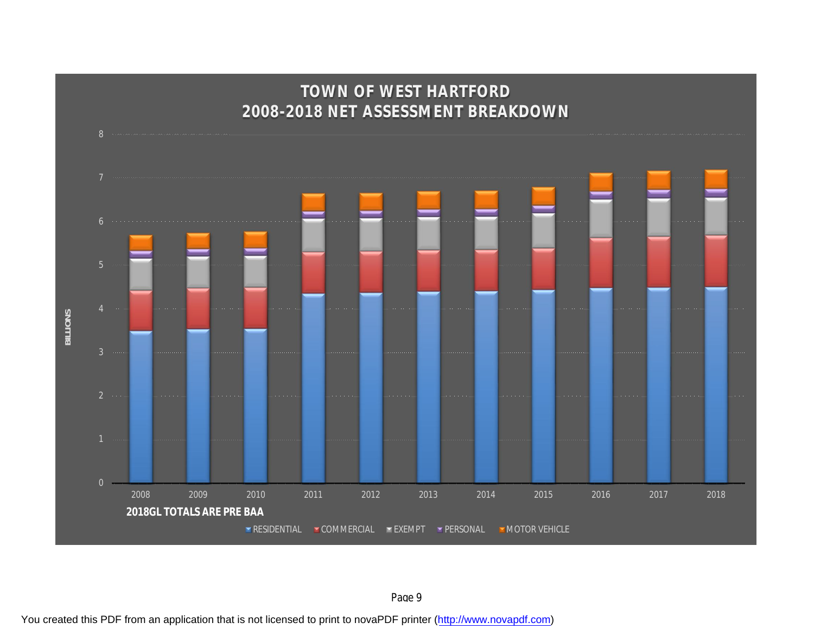

You created this PDF from an application that is not licensed to print to novaPDF printer ([http://www.novapdf.com\)](http://www.novapdf.com/)